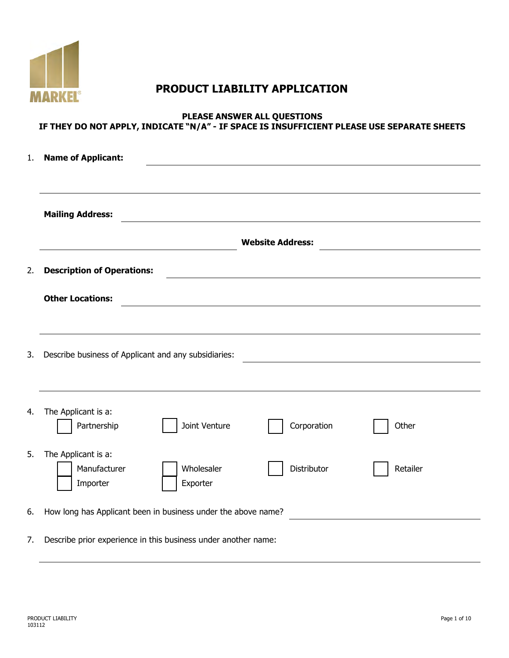

# **PRODUCT LIABILITY APPLICATION**

## **PLEASE ANSWER ALL QUESTIONS IF THEY DO NOT APPLY, INDICATE "N/A" - IF SPACE IS INSUFFICIENT PLEASE USE SEPARATE SHEETS**

| 1. | <b>Name of Applicant:</b>                                      |               |                                                           |          |  |  |  |
|----|----------------------------------------------------------------|---------------|-----------------------------------------------------------|----------|--|--|--|
|    | <b>Mailing Address:</b>                                        |               | <u> 1980 - John Stein, Amerikaansk politiker (* 1900)</u> |          |  |  |  |
|    |                                                                |               | <b>Website Address:</b>                                   |          |  |  |  |
| 2. | <b>Description of Operations:</b>                              |               |                                                           |          |  |  |  |
|    | <b>Other Locations:</b>                                        |               |                                                           |          |  |  |  |
|    |                                                                |               |                                                           |          |  |  |  |
| 3. | Describe business of Applicant and any subsidiaries:           |               |                                                           |          |  |  |  |
|    |                                                                |               |                                                           |          |  |  |  |
| 4. | The Applicant is a:                                            |               |                                                           |          |  |  |  |
|    | Partnership                                                    | Joint Venture | Corporation                                               | Other    |  |  |  |
| 5. | The Applicant is a:<br>Manufacturer                            | Wholesaler    | Distributor                                               | Retailer |  |  |  |
|    | Importer                                                       | Exporter      |                                                           |          |  |  |  |
| 6. | How long has Applicant been in business under the above name?  |               |                                                           |          |  |  |  |
| 7. | Describe prior experience in this business under another name: |               |                                                           |          |  |  |  |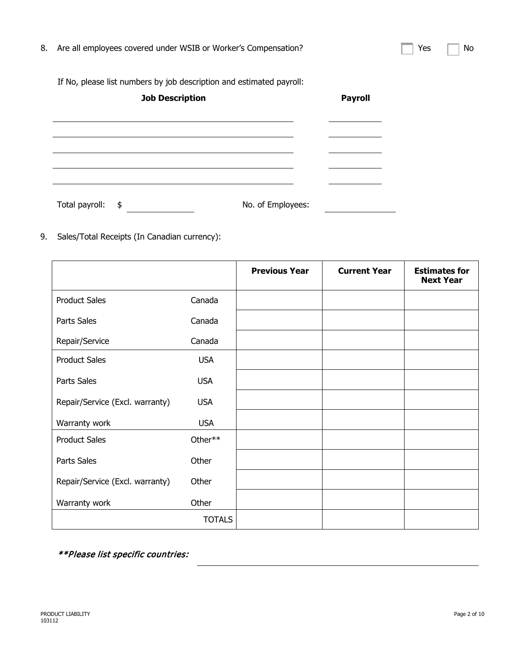| 8. Are all employees covered under WSIB or Worker's Compensation? | $\Box$ Yes $\Box$ No |  |
|-------------------------------------------------------------------|----------------------|--|
|                                                                   |                      |  |

If No, please list numbers by job description and estimated payroll:

| <b>Job Description</b> |                   | <b>Payroll</b> |
|------------------------|-------------------|----------------|
|                        |                   |                |
|                        |                   |                |
|                        |                   |                |
|                        |                   |                |
| Total payroll: \$      | No. of Employees: |                |

9. Sales/Total Receipts (In Canadian currency):

|                                 |               | <b>Previous Year</b> | <b>Current Year</b> | <b>Estimates for</b><br><b>Next Year</b> |
|---------------------------------|---------------|----------------------|---------------------|------------------------------------------|
| <b>Product Sales</b>            | Canada        |                      |                     |                                          |
| Parts Sales                     | Canada        |                      |                     |                                          |
| Repair/Service                  | Canada        |                      |                     |                                          |
| <b>Product Sales</b>            | <b>USA</b>    |                      |                     |                                          |
| Parts Sales                     | <b>USA</b>    |                      |                     |                                          |
| Repair/Service (Excl. warranty) | <b>USA</b>    |                      |                     |                                          |
| Warranty work                   | <b>USA</b>    |                      |                     |                                          |
| <b>Product Sales</b>            | Other**       |                      |                     |                                          |
| Parts Sales                     | Other         |                      |                     |                                          |
| Repair/Service (Excl. warranty) | Other         |                      |                     |                                          |
| Warranty work                   | Other         |                      |                     |                                          |
|                                 | <b>TOTALS</b> |                      |                     |                                          |

\*\*Please list specific countries: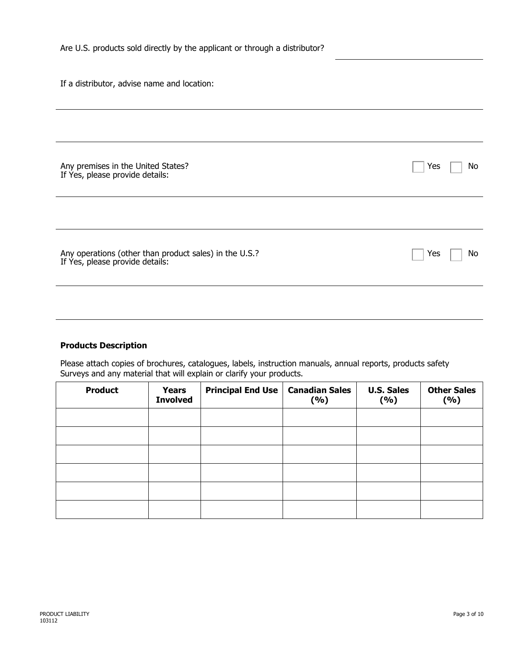|  | Are U.S. products sold directly by the applicant or through a distributor? |  |
|--|----------------------------------------------------------------------------|--|
|--|----------------------------------------------------------------------------|--|

If a distributor, advise name and location:

| Any premises in the United States?<br>If Yes, please provide details:                  | Yes<br>No |
|----------------------------------------------------------------------------------------|-----------|
|                                                                                        |           |
| Any operations (other than product sales) in the U.S.? If Yes, please provide details: | Yes<br>No |
|                                                                                        |           |

## **Products Description**

Please attach copies of brochures, catalogues, labels, instruction manuals, annual reports, products safety Surveys and any material that will explain or clarify your products.

| <b>Product</b> | <b>Years</b><br><b>Involved</b> | Principal End Use   Canadian Sales | (%) | <b>U.S. Sales</b><br>(%) | <b>Other Sales</b><br>(%) |
|----------------|---------------------------------|------------------------------------|-----|--------------------------|---------------------------|
|                |                                 |                                    |     |                          |                           |
|                |                                 |                                    |     |                          |                           |
|                |                                 |                                    |     |                          |                           |
|                |                                 |                                    |     |                          |                           |
|                |                                 |                                    |     |                          |                           |
|                |                                 |                                    |     |                          |                           |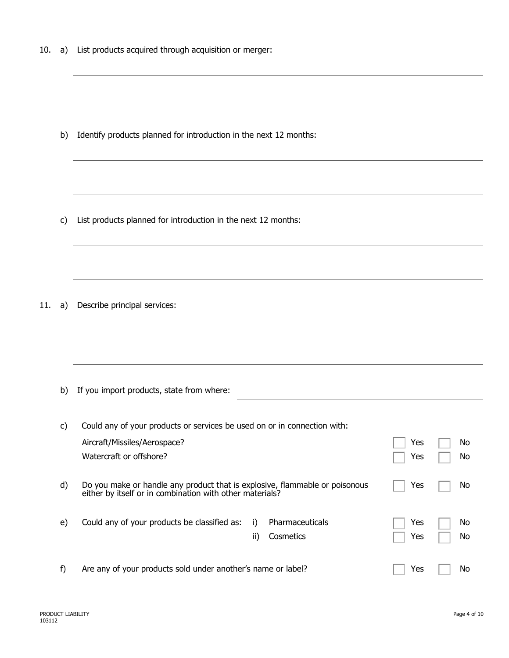10. a) List products acquired through acquisition or merger:

b) Identify products planned for introduction in the next 12 months:

c) List products planned for introduction in the next 12 months:

11. a) Describe principal services:

b) If you import products, state from where:

| C) | Could any of your products or services be used on or in connection with:                                                                |                   |                              |            |          |
|----|-----------------------------------------------------------------------------------------------------------------------------------------|-------------------|------------------------------|------------|----------|
|    | Aircraft/Missiles/Aerospace?                                                                                                            |                   |                              | Yes        | No       |
|    | Watercraft or offshore?                                                                                                                 |                   |                              | Yes        | No       |
| d) | Do you make or handle any product that is explosive, flammable or poisonous<br>either by itself or in combination with other materials? |                   |                              | Yes        | No       |
| e) | Could any of your products be classified as:                                                                                            | i)<br>$\parallel$ | Pharmaceuticals<br>Cosmetics | Yes<br>Yes | No<br>No |
| f) | Are any of your products sold under another's name or label?                                                                            |                   |                              | Yes        | No       |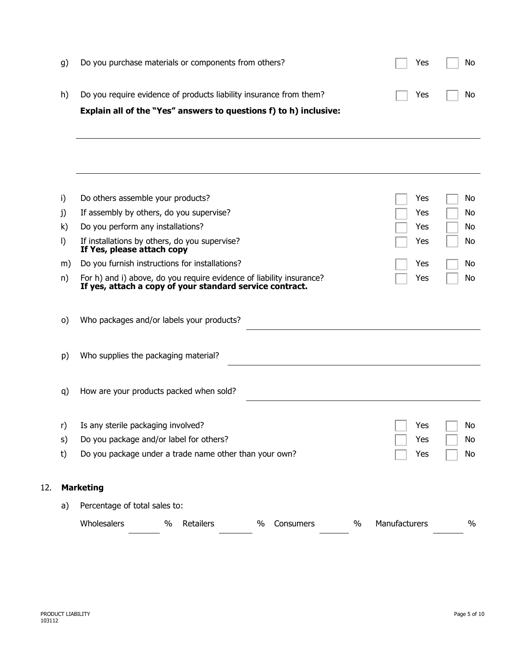|    | Explain all of the "Yes" answers to questions f) to h) inclusive:  |     |            |
|----|--------------------------------------------------------------------|-----|------------|
| h) | Do you require evidence of products liability insurance from them? |     | Yes     No |
| g) | Do you purchase materials or components from others?               | Yes | No         |

| i)<br>j)<br>k)<br>$\vert$<br>m)<br>n) | Do others assemble your products?<br>If assembly by others, do you supervise?<br>Do you perform any installations?<br>If installations by others, do you supervise?<br>If Yes, please attach copy<br>Do you furnish instructions for installations?<br>For h) and i) above, do you require evidence of liability insurance?<br>If yes, attach a copy of your standard service contract. | Yes<br>Yes<br>Yes<br>Yes<br>Yes<br>Yes | No<br>No<br>No<br>No<br>No<br>No |
|---------------------------------------|-----------------------------------------------------------------------------------------------------------------------------------------------------------------------------------------------------------------------------------------------------------------------------------------------------------------------------------------------------------------------------------------|----------------------------------------|----------------------------------|
| O)                                    | Who packages and/or labels your products?                                                                                                                                                                                                                                                                                                                                               |                                        |                                  |
| p)                                    | Who supplies the packaging material?                                                                                                                                                                                                                                                                                                                                                    |                                        |                                  |
| q)                                    | How are your products packed when sold?                                                                                                                                                                                                                                                                                                                                                 |                                        |                                  |
| r)<br>S)<br>t)                        | Is any sterile packaging involved?<br>Do you package and/or label for others?<br>Do you package under a trade name other than your own?                                                                                                                                                                                                                                                 | Yes<br>Yes<br>Yes                      | No<br>No<br>No                   |
|                                       | <b>Marketing</b>                                                                                                                                                                                                                                                                                                                                                                        |                                        |                                  |
| a)                                    | Percentage of total sales to:                                                                                                                                                                                                                                                                                                                                                           |                                        |                                  |
|                                       | Wholesalers<br>Retailers<br>$\%$<br>$\%$<br>$\%$<br>Consumers                                                                                                                                                                                                                                                                                                                           | Manufacturers                          | $\%$                             |

12. **Marketing**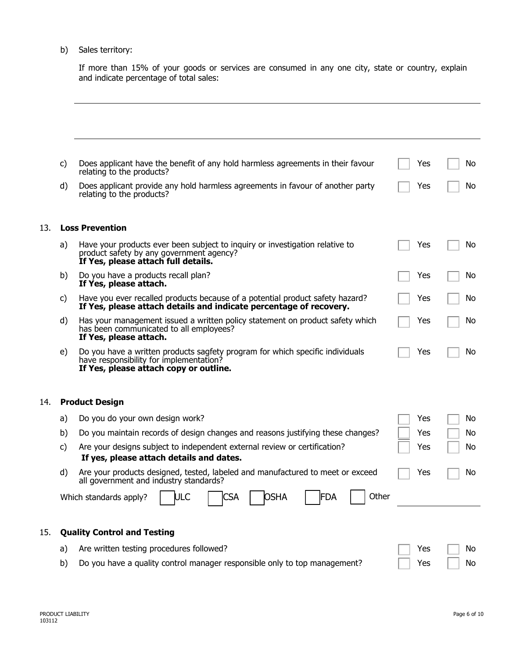#### b) Sales territory:

If more than 15% of your goods or services are consumed in any one city, state or country, explain and indicate percentage of total sales:

|     | c) | Does applicant have the benefit of any hold harmless agreements in their favour<br>relating to the products?                                                       | Yes | No |
|-----|----|--------------------------------------------------------------------------------------------------------------------------------------------------------------------|-----|----|
|     | d) | Does applicant provide any hold harmless agreements in favour of another party<br>relating to the products?                                                        | Yes | No |
| 13. |    | <b>Loss Prevention</b>                                                                                                                                             |     |    |
|     | a) | Have your products ever been subject to inquiry or investigation relative to<br>product safety by any government agency?<br>If Yes, please attach full details.    | Yes | No |
|     | b) | Do you have a products recall plan?<br>If Yes, please attach.                                                                                                      | Yes | No |
|     | c) | Have you ever recalled products because of a potential product safety hazard?<br>If Yes, please attach details and indicate percentage of recovery.                | Yes | No |
|     | d) | Has your management issued a written policy statement on product safety which<br>has been communicated to all employees?<br>If Yes, please attach.                 | Yes | No |
|     | e) | Do you have a written products sagfety program for which specific individuals<br>have responsibility for implementation?<br>If Yes, please attach copy or outline. | Yes | No |
| 14. |    | <b>Product Design</b>                                                                                                                                              |     |    |
|     | a) | Do you do your own design work?                                                                                                                                    | Yes | Νo |
|     | b) | Do you maintain records of design changes and reasons justifying these changes?                                                                                    | Yes | No |
|     | c) | Are your designs subject to independent external review or certification?<br>If yes, please attach details and dates.                                              | Yes | No |
|     | d) | Are your products designed, tested, labeled and manufactured to meet or exceed<br>all government and industry standards?                                           | Yes | No |
|     |    | <b>OSHA</b><br> FDA<br>Other<br>ULC<br><b>CSA</b><br>Which standards apply?                                                                                        |     |    |
| 15. |    | <b>Quality Control and Testing</b>                                                                                                                                 |     |    |
|     | a) | Are written testing procedures followed?                                                                                                                           | Yes | No |
|     | b) | Do you have a quality control manager responsible only to top management?                                                                                          | Yes | No |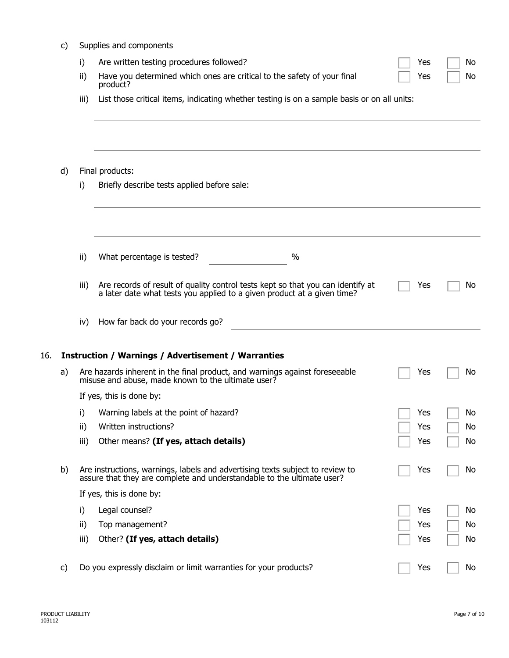|     | c) | Supplies and components |                                                                                                                                                            |     |    |  |  |  |  |
|-----|----|-------------------------|------------------------------------------------------------------------------------------------------------------------------------------------------------|-----|----|--|--|--|--|
|     |    | i)                      | Are written testing procedures followed?                                                                                                                   | Yes | No |  |  |  |  |
|     |    | ii)                     | Have you determined which ones are critical to the safety of your final<br>product?                                                                        | Yes | No |  |  |  |  |
|     |    | iii)                    | List those critical items, indicating whether testing is on a sample basis or on all units:                                                                |     |    |  |  |  |  |
|     |    |                         |                                                                                                                                                            |     |    |  |  |  |  |
|     | d) |                         | Final products:                                                                                                                                            |     |    |  |  |  |  |
|     |    | i)                      | Briefly describe tests applied before sale:                                                                                                                |     |    |  |  |  |  |
|     |    |                         |                                                                                                                                                            |     |    |  |  |  |  |
|     |    | ii)                     | $\%$<br>What percentage is tested?                                                                                                                         |     |    |  |  |  |  |
|     |    | iii)                    | Are records of result of quality control tests kept so that you can identify at<br>a later date what tests you applied to a given product at a given time? | Yes | No |  |  |  |  |
|     |    | iv)                     | How far back do your records go?                                                                                                                           |     |    |  |  |  |  |
| 16. |    |                         | <b>Instruction / Warnings / Advertisement / Warranties</b>                                                                                                 |     |    |  |  |  |  |
|     | a) |                         | Are hazards inherent in the final product, and warnings against foreseeable<br>misuse and abuse, made known to the ultimate user?                          | Yes | No |  |  |  |  |
|     |    |                         | If yes, this is done by:                                                                                                                                   |     |    |  |  |  |  |
|     |    |                         | i) Warning labels at the point of hazard?                                                                                                                  | Yes | No |  |  |  |  |
|     |    | ii)                     | Written instructions?                                                                                                                                      | Yes | No |  |  |  |  |
|     |    | iii)                    | Other means? (If yes, attach details)                                                                                                                      | Yes | No |  |  |  |  |
|     | b) |                         | Are instructions, warnings, labels and advertising texts subject to review to<br>assure that they are complete and understandable to the ultimate user?    | Yes | No |  |  |  |  |
|     |    |                         | If yes, this is done by:                                                                                                                                   |     |    |  |  |  |  |
|     |    | i)                      | Legal counsel?                                                                                                                                             | Yes | No |  |  |  |  |
|     |    | ii)                     | Top management?                                                                                                                                            | Yes | No |  |  |  |  |
|     |    | iii)                    | Other? (If yes, attach details)                                                                                                                            | Yes | No |  |  |  |  |
|     | c) |                         | Do you expressly disclaim or limit warranties for your products?                                                                                           | Yes | No |  |  |  |  |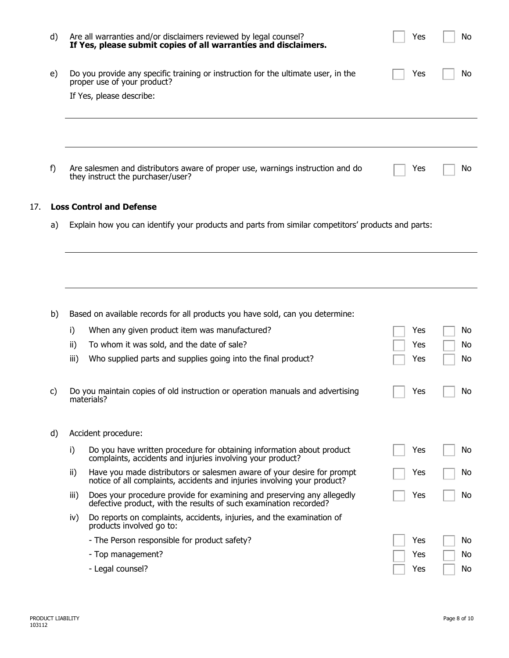| d)  |                                                                                                          | Are all warranties and/or disclaimers reviewed by legal counsel?<br>If Yes, please submit copies of all warranties and disclaimers.                | Yes | No |  |  |  |  |  |
|-----|----------------------------------------------------------------------------------------------------------|----------------------------------------------------------------------------------------------------------------------------------------------------|-----|----|--|--|--|--|--|
| e)  |                                                                                                          | Do you provide any specific training or instruction for the ultimate user, in the<br>proper use of your product?                                   | Yes | No |  |  |  |  |  |
|     |                                                                                                          | If Yes, please describe:                                                                                                                           |     |    |  |  |  |  |  |
| f)  |                                                                                                          | Are salesmen and distributors aware of proper use, warnings instruction and do<br>they instruct the purchaser/user?                                | Yes | Νo |  |  |  |  |  |
|     |                                                                                                          |                                                                                                                                                    |     |    |  |  |  |  |  |
| 17. |                                                                                                          | <b>Loss Control and Defense</b>                                                                                                                    |     |    |  |  |  |  |  |
|     | Explain how you can identify your products and parts from similar competitors' products and parts:<br>a) |                                                                                                                                                    |     |    |  |  |  |  |  |
|     |                                                                                                          |                                                                                                                                                    |     |    |  |  |  |  |  |
|     |                                                                                                          |                                                                                                                                                    |     |    |  |  |  |  |  |
| b)  |                                                                                                          | Based on available records for all products you have sold, can you determine:                                                                      |     |    |  |  |  |  |  |
|     | i)                                                                                                       | When any given product item was manufactured?                                                                                                      | Yes | No |  |  |  |  |  |
|     | ii)                                                                                                      | To whom it was sold, and the date of sale?                                                                                                         | Yes | No |  |  |  |  |  |
|     | iii)                                                                                                     | Who supplied parts and supplies going into the final product?                                                                                      | Yes | No |  |  |  |  |  |
| C)  |                                                                                                          | Do you maintain copies of old instruction or operation manuals and advertising<br>materials?                                                       | Yes | No |  |  |  |  |  |
| d)  | Accident procedure:                                                                                      |                                                                                                                                                    |     |    |  |  |  |  |  |
|     | i)                                                                                                       | Do you have written procedure for obtaining information about product<br>complaints, accidents and injuries involving your product?                | Yes | No |  |  |  |  |  |
|     | ii)                                                                                                      | Have you made distributors or salesmen aware of your desire for prompt<br>notice of all complaints, accidents and injuries involving your product? | Yes | Νo |  |  |  |  |  |
|     | iii)                                                                                                     | Does your procedure provide for examining and preserving any allegedly<br>defective product, with the results of such examination recorded?        | Yes | No |  |  |  |  |  |
|     | iv)                                                                                                      | Do reports on complaints, accidents, injuries, and the examination of<br>products involved go to:                                                  |     |    |  |  |  |  |  |
|     |                                                                                                          | - The Person responsible for product safety?                                                                                                       | Yes | No |  |  |  |  |  |
|     |                                                                                                          | - Top management?                                                                                                                                  | Yes | No |  |  |  |  |  |
|     |                                                                                                          | - Legal counsel?                                                                                                                                   | Yes | No |  |  |  |  |  |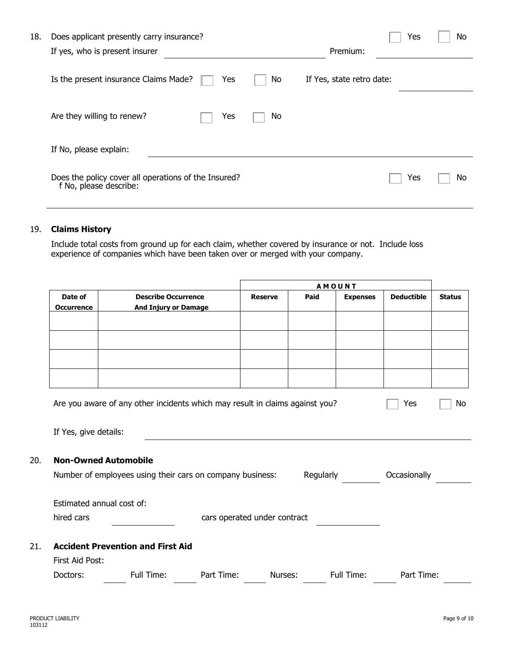| 18. | Does applicant presently carry insurance?                                      |                           | Yes | No  |
|-----|--------------------------------------------------------------------------------|---------------------------|-----|-----|
|     | If yes, who is present insurer                                                 | Premium:                  |     |     |
|     | Is the present insurance Claims Made?<br>No<br>Yes                             | If Yes, state retro date: |     |     |
|     | Are they willing to renew?<br>No.<br>Yes                                       |                           |     |     |
|     | If No, please explain:                                                         |                           |     |     |
|     | Does the policy cover all operations of the Insured?<br>f No, please describe: |                           | Yes | No. |

#### 19. **Claims History**

Include total costs from ground up for each claim, whether covered by insurance or not. Include loss experience of companies which have been taken over or merged with your company.

|                                    |                                                                                        |                              | <b>AMOUNT</b>  |      |                 |                   |               |  |
|------------------------------------|----------------------------------------------------------------------------------------|------------------------------|----------------|------|-----------------|-------------------|---------------|--|
| Date of                            | <b>Describe Occurrence</b>                                                             |                              | <b>Reserve</b> | Paid | <b>Expenses</b> | <b>Deductible</b> | <b>Status</b> |  |
| <b>Occurrence</b>                  | <b>And Injury or Damage</b>                                                            |                              |                |      |                 |                   |               |  |
|                                    |                                                                                        |                              |                |      |                 |                   |               |  |
|                                    |                                                                                        |                              |                |      |                 |                   |               |  |
|                                    |                                                                                        |                              |                |      |                 |                   |               |  |
|                                    |                                                                                        |                              |                |      |                 |                   |               |  |
|                                    |                                                                                        |                              |                |      |                 |                   |               |  |
|                                    |                                                                                        |                              |                |      |                 |                   |               |  |
|                                    | Are you aware of any other incidents which may result in claims against you?<br>Yes    |                              |                |      |                 |                   | No            |  |
|                                    |                                                                                        |                              |                |      |                 |                   |               |  |
|                                    | If Yes, give details:                                                                  |                              |                |      |                 |                   |               |  |
|                                    |                                                                                        |                              |                |      |                 |                   |               |  |
| <b>Non-Owned Automobile</b><br>20. |                                                                                        |                              |                |      |                 |                   |               |  |
|                                    |                                                                                        |                              |                |      |                 |                   |               |  |
|                                    | Number of employees using their cars on company business:<br>Regularly<br>Occasionally |                              |                |      |                 |                   |               |  |
|                                    |                                                                                        |                              |                |      |                 |                   |               |  |
|                                    | Estimated annual cost of:                                                              |                              |                |      |                 |                   |               |  |
| hired cars                         |                                                                                        | cars operated under contract |                |      |                 |                   |               |  |
|                                    |                                                                                        |                              |                |      |                 |                   |               |  |
| 21.                                | <b>Accident Prevention and First Aid</b>                                               |                              |                |      |                 |                   |               |  |
| First Aid Post:                    |                                                                                        |                              |                |      |                 |                   |               |  |
| Doctors:                           | Full Time:                                                                             | Part Time:                   | Nurses:        |      | Full Time:      | Part Time:        |               |  |
|                                    |                                                                                        |                              |                |      |                 |                   |               |  |